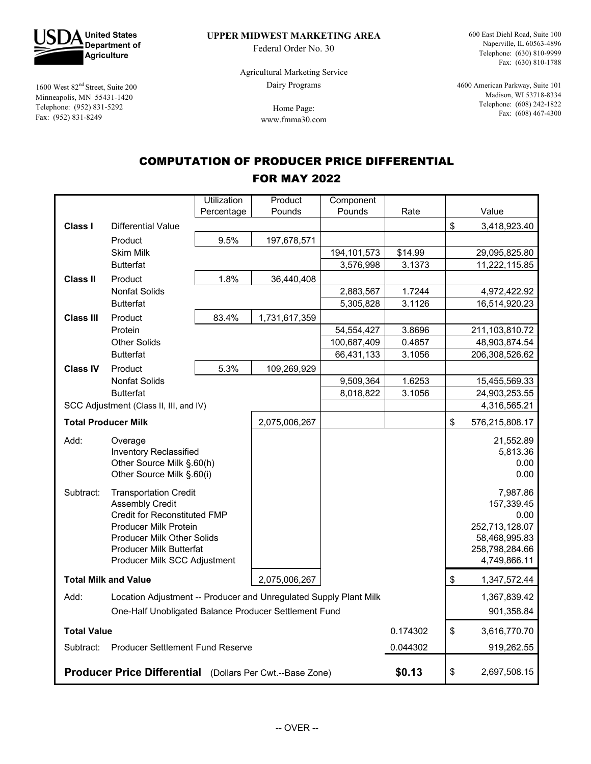

1600 West  $82<sup>nd</sup>$  Street, Suite 200 Minneapolis, MN 55431-1420 Telephone: (952) 831-5292 Fax: (952) 831-8249

**UPPER MIDWEST MARKETING AREA**

Federal Order No. 30

600 East Diehl Road, Suite 100 Naperville, IL 60563-4896 Telephone: (630) 810-9999 Fax: (630) 810-1788

Agricultural Marketing Service Dairy Programs

> Home Page: www.fmma30.com

4600 American Parkway, Suite 101 Madison, WI 53718-8334 Telephone: (608) 242-1822 Fax: (608) 467-4300

# COMPUTATION OF PRODUCER PRICE DIFFERENTIAL

#### FOR MAY 2022

|                                                                           |                                                                                                                                                                                                                                      | Utilization | Product       | Component     |                                       |                                                                                                     |
|---------------------------------------------------------------------------|--------------------------------------------------------------------------------------------------------------------------------------------------------------------------------------------------------------------------------------|-------------|---------------|---------------|---------------------------------------|-----------------------------------------------------------------------------------------------------|
|                                                                           |                                                                                                                                                                                                                                      | Percentage  | Pounds        | Pounds        | Rate                                  | Value                                                                                               |
| Class I                                                                   | <b>Differential Value</b>                                                                                                                                                                                                            |             |               |               |                                       | \$<br>3,418,923.40                                                                                  |
|                                                                           | Product                                                                                                                                                                                                                              | 9.5%        | 197,678,571   |               |                                       |                                                                                                     |
|                                                                           | <b>Skim Milk</b>                                                                                                                                                                                                                     |             |               | 194, 101, 573 | \$14.99                               | 29,095,825.80                                                                                       |
|                                                                           | <b>Butterfat</b>                                                                                                                                                                                                                     |             |               | 3,576,998     | 3.1373                                | 11,222,115.85                                                                                       |
| <b>Class II</b>                                                           | Product                                                                                                                                                                                                                              | 1.8%        | 36,440,408    |               |                                       |                                                                                                     |
|                                                                           | <b>Nonfat Solids</b>                                                                                                                                                                                                                 |             |               | 2,883,567     | 1.7244                                | 4,972,422.92                                                                                        |
|                                                                           | <b>Butterfat</b>                                                                                                                                                                                                                     |             |               | 5,305,828     | 3.1126                                | 16,514,920.23                                                                                       |
| <b>Class III</b>                                                          | Product                                                                                                                                                                                                                              | 83.4%       | 1,731,617,359 |               |                                       |                                                                                                     |
|                                                                           | Protein                                                                                                                                                                                                                              |             |               | 54, 554, 427  | 3.8696                                | 211,103,810.72                                                                                      |
|                                                                           | <b>Other Solids</b>                                                                                                                                                                                                                  |             |               | 100,687,409   | 0.4857                                | 48,903,874.54                                                                                       |
|                                                                           | <b>Butterfat</b>                                                                                                                                                                                                                     |             |               | 66,431,133    | 3.1056                                | 206,308,526.62                                                                                      |
| <b>Class IV</b>                                                           | Product                                                                                                                                                                                                                              | 5.3%        | 109,269,929   |               |                                       |                                                                                                     |
|                                                                           | <b>Nonfat Solids</b>                                                                                                                                                                                                                 |             |               | 9,509,364     | 1.6253                                | 15,455,569.33                                                                                       |
| <b>Butterfat</b>                                                          |                                                                                                                                                                                                                                      |             |               | 8,018,822     | 3.1056                                | 24,903,253.55                                                                                       |
|                                                                           | SCC Adjustment (Class II, III, and IV)                                                                                                                                                                                               |             |               |               |                                       | 4,316,565.21                                                                                        |
|                                                                           | <b>Total Producer Milk</b>                                                                                                                                                                                                           |             | 2,075,006,267 |               |                                       | \$<br>576,215,808.17                                                                                |
| Add:                                                                      | Overage<br>Inventory Reclassified<br>Other Source Milk §.60(h)<br>Other Source Milk §.60(i)                                                                                                                                          |             |               |               | 21,552.89<br>5,813.36<br>0.00<br>0.00 |                                                                                                     |
| Subtract:                                                                 | <b>Transportation Credit</b><br><b>Assembly Credit</b><br><b>Credit for Reconstituted FMP</b><br><b>Producer Milk Protein</b><br><b>Producer Milk Other Solids</b><br><b>Producer Milk Butterfat</b><br>Producer Milk SCC Adjustment |             |               |               |                                       | 7,987.86<br>157,339.45<br>0.00<br>252,713,128.07<br>58,468,995.83<br>258,798,284.66<br>4,749,866.11 |
| <b>Total Milk and Value</b>                                               |                                                                                                                                                                                                                                      |             | 2,075,006,267 |               |                                       | \$<br>1,347,572.44                                                                                  |
| Location Adjustment -- Producer and Unregulated Supply Plant Milk<br>Add: |                                                                                                                                                                                                                                      |             |               |               |                                       | 1,367,839.42                                                                                        |
| One-Half Unobligated Balance Producer Settlement Fund                     |                                                                                                                                                                                                                                      |             |               |               |                                       | 901,358.84                                                                                          |
| <b>Total Value</b>                                                        |                                                                                                                                                                                                                                      |             |               | 0.174302      | \$<br>3,616,770.70                    |                                                                                                     |
| <b>Producer Settlement Fund Reserve</b><br>Subtract:                      |                                                                                                                                                                                                                                      |             |               |               | 0.044302                              | 919,262.55                                                                                          |
| Producer Price Differential (Dollars Per Cwt.--Base Zone)                 |                                                                                                                                                                                                                                      |             |               |               | \$0.13                                | \$<br>2,697,508.15                                                                                  |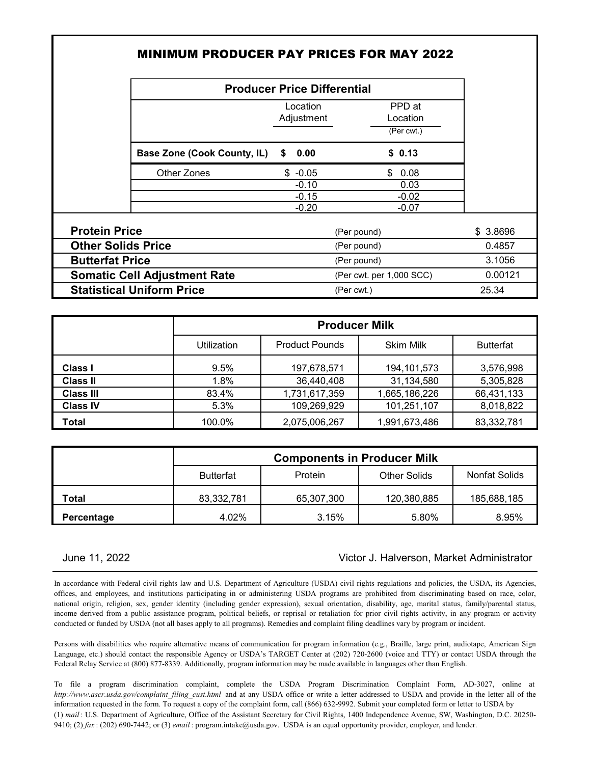| <b>MINIMUM PRODUCER PAY PRICES FOR MAY 2022</b> |                                    |                                  |          |  |  |  |  |
|-------------------------------------------------|------------------------------------|----------------------------------|----------|--|--|--|--|
|                                                 | <b>Producer Price Differential</b> |                                  |          |  |  |  |  |
|                                                 | Location<br>Adjustment             | PPD at<br>Location<br>(Per cwt.) |          |  |  |  |  |
| <b>Base Zone (Cook County, IL)</b>              | 0.00<br>S.                         | \$0.13                           |          |  |  |  |  |
| Other Zones                                     | $$ -0.05$                          | \$<br>0.08                       |          |  |  |  |  |
|                                                 | $-0.10$                            | 0.03                             |          |  |  |  |  |
|                                                 | $-0.15$<br>$-0.20$                 | $-0.02$<br>$-0.07$               |          |  |  |  |  |
| <b>Protein Price</b>                            |                                    | (Per pound)                      | \$3.8696 |  |  |  |  |
| <b>Other Solids Price</b>                       | (Per pound)                        |                                  | 0.4857   |  |  |  |  |
| <b>Butterfat Price</b>                          | (Per pound)                        |                                  | 3.1056   |  |  |  |  |
| <b>Somatic Cell Adjustment Rate</b>             | (Per cwt. per 1,000 SCC)           | 0.00121                          |          |  |  |  |  |
| <b>Statistical Uniform Price</b>                | (Per cwt.)                         |                                  | 25.34    |  |  |  |  |

|                  |             | <b>Producer Milk</b>  |                  |                  |  |  |  |  |  |
|------------------|-------------|-----------------------|------------------|------------------|--|--|--|--|--|
|                  | Utilization | <b>Product Pounds</b> | <b>Skim Milk</b> | <b>Butterfat</b> |  |  |  |  |  |
| <b>Class I</b>   | 9.5%        | 197,678,571           | 194, 101, 573    | 3,576,998        |  |  |  |  |  |
| <b>Class II</b>  | 1.8%        | 36,440,408            | 31,134,580       | 5,305,828        |  |  |  |  |  |
| <b>Class III</b> | 83.4%       | 1,731,617,359         | 1,665,186,226    | 66,431,133       |  |  |  |  |  |
| <b>Class IV</b>  | 5.3%        | 109,269,929           | 101,251,107      | 8,018,822        |  |  |  |  |  |
| Total            | 100.0%      | 2,075,006,267         | 1,991,673,486    | 83,332,781       |  |  |  |  |  |

|            | <b>Components in Producer Milk</b> |            |                     |               |  |  |  |
|------------|------------------------------------|------------|---------------------|---------------|--|--|--|
|            | <b>Butterfat</b>                   | Protein    | <b>Other Solids</b> | Nonfat Solids |  |  |  |
| Total      | 83,332,781                         | 65,307,300 | 120,380,885         | 185,688,185   |  |  |  |
| Percentage | 4.02%                              | 3.15%      | 5.80%               | 8.95%         |  |  |  |

### June 11, 2022 Victor J. Halverson, Market Administrator

In accordance with Federal civil rights law and U.S. Department of Agriculture (USDA) civil rights regulations and policies, the USDA, its Agencies, offices, and employees, and institutions participating in or administering USDA programs are prohibited from discriminating based on race, color, national origin, religion, sex, gender identity (including gender expression), sexual orientation, disability, age, marital status, family/parental status, income derived from a public assistance program, political beliefs, or reprisal or retaliation for prior civil rights activity, in any program or activity conducted or funded by USDA (not all bases apply to all programs). Remedies and complaint filing deadlines vary by program or incident.

Persons with disabilities who require alternative means of communication for program information (e.g., Braille, large print, audiotape, American Sign Language, etc.) should contact the responsible Agency or USDA's TARGET Center at (202) 720-2600 (voice and TTY) or contact USDA through the Federal Relay Service at (800) 877-8339. Additionally, program information may be made available in languages other than English.

(1) *mail* : U.S. Department of Agriculture, Office of the Assistant Secretary for Civil Rights, 1400 Independence Avenue, SW, Washington, D.C. 20250- 9410; (2) *fax* : (202) 690-7442; or (3) *email* : program.intake@usda.gov. USDA is an equal opportunity provider, employer, and lender. To file a program discrimination complaint, complete the USDA Program Discrimination Complaint Form, AD-3027, online at *http://www.ascr.usda.gov/complaint\_filing\_cust.html* and at any USDA office or write a letter addressed to USDA and provide in the letter all of the information requested in the form. To request a copy of the complaint form, call (866) 632-9992. Submit your completed form or letter to USDA by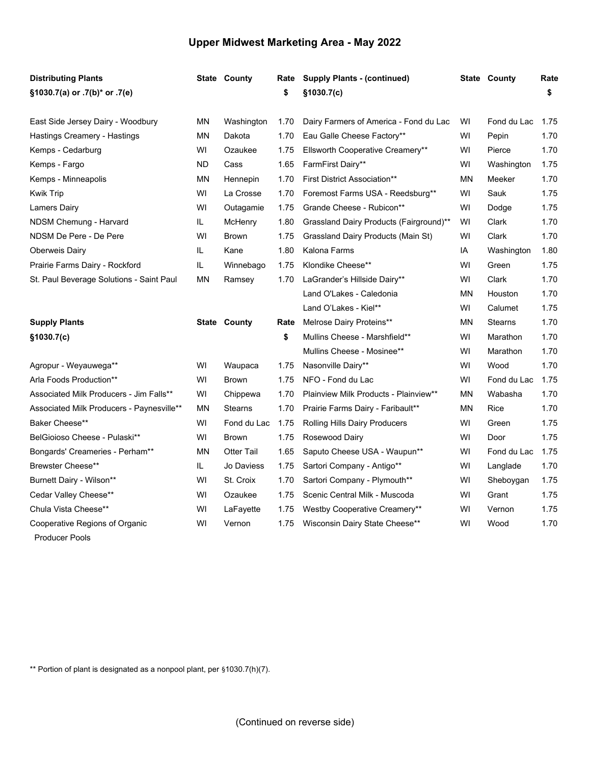## **Upper Midwest Marketing Area - May 2022**

| <b>Distributing Plants</b>                              |           | <b>State County</b> | Rate | <b>Supply Plants - (continued)</b>      |           | <b>State County</b> | Rate |
|---------------------------------------------------------|-----------|---------------------|------|-----------------------------------------|-----------|---------------------|------|
| §1030.7(a) or .7(b)* or .7(e)                           |           |                     | \$   | §1030.7(c)                              |           |                     | \$   |
| East Side Jersey Dairy - Woodbury                       | ΜN        | Washington          | 1.70 | Dairy Farmers of America - Fond du Lac  | WI        | Fond du Lac         | 1.75 |
| Hastings Creamery - Hastings                            | MN        | Dakota              | 1.70 | Eau Galle Cheese Factory**              | WI        | Pepin               | 1.70 |
| Kemps - Cedarburg                                       | WI        | Ozaukee             | 1.75 | Ellsworth Cooperative Creamery**        | WI        | Pierce              | 1.70 |
| Kemps - Fargo                                           | <b>ND</b> | Cass                | 1.65 | FarmFirst Dairy**                       | WI        | Washington          | 1.75 |
| Kemps - Minneapolis                                     | MN        | Hennepin            | 1.70 | <b>First District Association**</b>     | <b>MN</b> | Meeker              | 1.70 |
| Kwik Trip                                               | WI        | La Crosse           | 1.70 | Foremost Farms USA - Reedsburg**        | WI        | Sauk                | 1.75 |
| <b>Lamers Dairy</b>                                     | WI        | Outagamie           | 1.75 | Grande Cheese - Rubicon**               | WI        | Dodge               | 1.75 |
| NDSM Chemung - Harvard                                  | IL.       | McHenry             | 1.80 | Grassland Dairy Products (Fairground)** | WI        | Clark               | 1.70 |
| NDSM De Pere - De Pere                                  | WI        | <b>Brown</b>        | 1.75 | Grassland Dairy Products (Main St)      | WI        | Clark               | 1.70 |
| <b>Oberweis Dairy</b>                                   | IL.       | Kane                | 1.80 | Kalona Farms                            | IA        | Washington          | 1.80 |
| Prairie Farms Dairy - Rockford                          | IL.       | Winnebago           | 1.75 | Klondike Cheese**                       | WI        | Green               | 1.75 |
| St. Paul Beverage Solutions - Saint Paul                | <b>MN</b> | Ramsey              | 1.70 | LaGrander's Hillside Dairy**            | WI        | Clark               | 1.70 |
|                                                         |           |                     |      | Land O'Lakes - Caledonia                | MN        | Houston             | 1.70 |
|                                                         |           |                     |      | Land O'Lakes - Kiel**                   | WI        | Calumet             | 1.75 |
| <b>Supply Plants</b>                                    |           | <b>State County</b> | Rate | Melrose Dairy Proteins**                | ΜN        | <b>Stearns</b>      | 1.70 |
| \$1030.7(c)                                             |           |                     | \$   | Mullins Cheese - Marshfield**           | WI        | Marathon            | 1.70 |
|                                                         |           |                     |      | Mullins Cheese - Mosinee**              | WI        | Marathon            | 1.70 |
| Agropur - Weyauwega**                                   | WI        | Waupaca             | 1.75 | Nasonville Dairy**                      | WI        | Wood                | 1.70 |
| Arla Foods Production**                                 | WI        | <b>Brown</b>        | 1.75 | NFO - Fond du Lac                       | WI        | Fond du Lac         | 1.75 |
| Associated Milk Producers - Jim Falls**                 | WI        | Chippewa            | 1.70 | Plainview Milk Products - Plainview**   | MN        | Wabasha             | 1.70 |
| Associated Milk Producers - Paynesville**               | <b>MN</b> | <b>Stearns</b>      | 1.70 | Prairie Farms Dairy - Faribault**       | <b>MN</b> | <b>Rice</b>         | 1.70 |
| Baker Cheese**                                          | WI        | Fond du Lac         | 1.75 | Rolling Hills Dairy Producers           | WI        | Green               | 1.75 |
| BelGioioso Cheese - Pulaski**                           | WI        | <b>Brown</b>        | 1.75 | Rosewood Dairy                          | WI        | Door                | 1.75 |
| Bongards' Creameries - Perham**                         | MN        | <b>Otter Tail</b>   | 1.65 | Saputo Cheese USA - Waupun**            | WI        | Fond du Lac         | 1.75 |
| <b>Brewster Cheese**</b>                                | IL        | Jo Daviess          | 1.75 | Sartori Company - Antigo**              | WI        | Langlade            | 1.70 |
| Burnett Dairy - Wilson**                                | WI        | St. Croix           | 1.70 | Sartori Company - Plymouth**            | WI        | Sheboygan           | 1.75 |
| Cedar Valley Cheese**                                   | WI        | Ozaukee             | 1.75 | Scenic Central Milk - Muscoda           | WI        | Grant               | 1.75 |
| Chula Vista Cheese**                                    | WI        | LaFayette           | 1.75 | Westby Cooperative Creamery**           | WI        | Vernon              | 1.75 |
| Cooperative Regions of Organic<br><b>Producer Pools</b> | WI        | Vernon              | 1.75 | Wisconsin Dairy State Cheese**          | WI        | Wood                | 1.70 |

\*\* Portion of plant is designated as a nonpool plant, per §1030.7(h)(7).